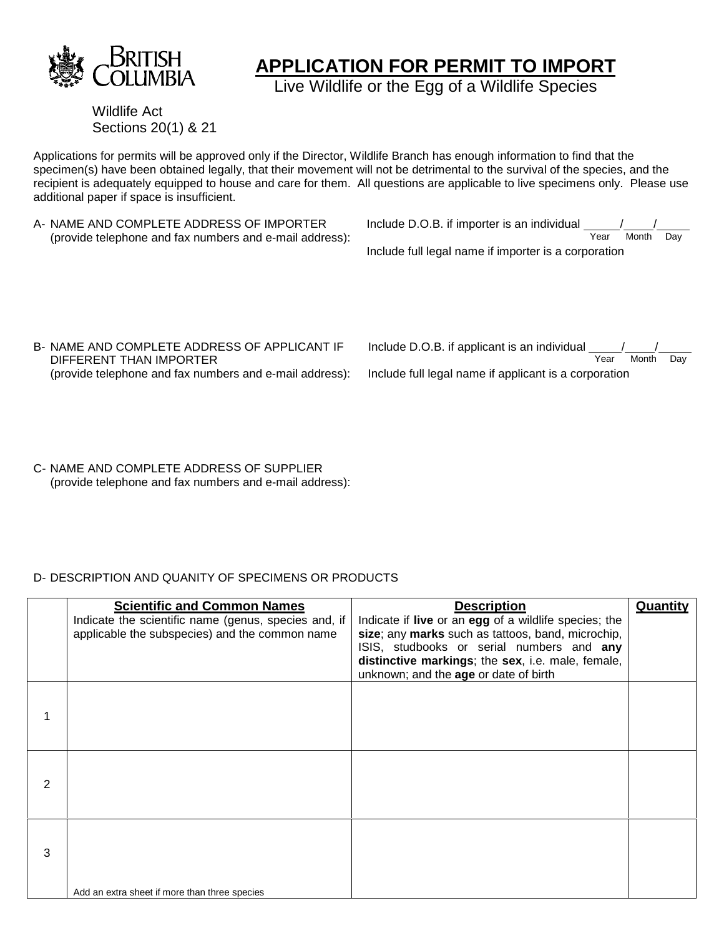

# **APPLICATION FOR PERMIT TO IMPORT**

Live Wildlife or the Egg of a Wildlife Species

Wildlife Act Sections 20(1) & 21

Applications for permits will be approved only if the Director, Wildlife Branch has enough information to find that the specimen(s) have been obtained legally, that their movement will not be detrimental to the survival of the species, and the recipient is adequately equipped to house and care for them. All questions are applicable to live specimens only. Please use additional paper if space is insufficient.

A- NAME AND COMPLETE ADDRESS OF IMPORTER (provide telephone and fax numbers and e-mail address): Include D.O.B. if importer is an individual  $\frac{1}{\sqrt{2\pi}}$  Month Year Month Day Include full legal name if importer is a corporation

B- NAME AND COMPLETE ADDRESS OF APPLICANT IF DIFFERENT THAN IMPORTER (provide telephone and fax numbers and e-mail address):

| Include D.O.B. if applicant is an individual          |      |       |     |
|-------------------------------------------------------|------|-------|-----|
|                                                       | Year | Month | Dav |
| Include full legal name if applicant is a corporation |      |       |     |

C- NAME AND COMPLETE ADDRESS OF SUPPLIER (provide telephone and fax numbers and e-mail address):

# D- DESCRIPTION AND QUANITY OF SPECIMENS OR PRODUCTS

|   | <b>Scientific and Common Names</b><br>Indicate the scientific name (genus, species and, if<br>applicable the subspecies) and the common name | <b>Description</b><br>Indicate if <b>live</b> or an <b>egg</b> of a wildlife species; the<br>size; any marks such as tattoos, band, microchip,<br>ISIS, studbooks or serial numbers and any<br>distinctive markings; the sex, i.e. male, female,<br>unknown; and the age or date of birth | Quantity |
|---|----------------------------------------------------------------------------------------------------------------------------------------------|-------------------------------------------------------------------------------------------------------------------------------------------------------------------------------------------------------------------------------------------------------------------------------------------|----------|
|   |                                                                                                                                              |                                                                                                                                                                                                                                                                                           |          |
| 2 |                                                                                                                                              |                                                                                                                                                                                                                                                                                           |          |
| 3 | Add an extra sheet if more than three species                                                                                                |                                                                                                                                                                                                                                                                                           |          |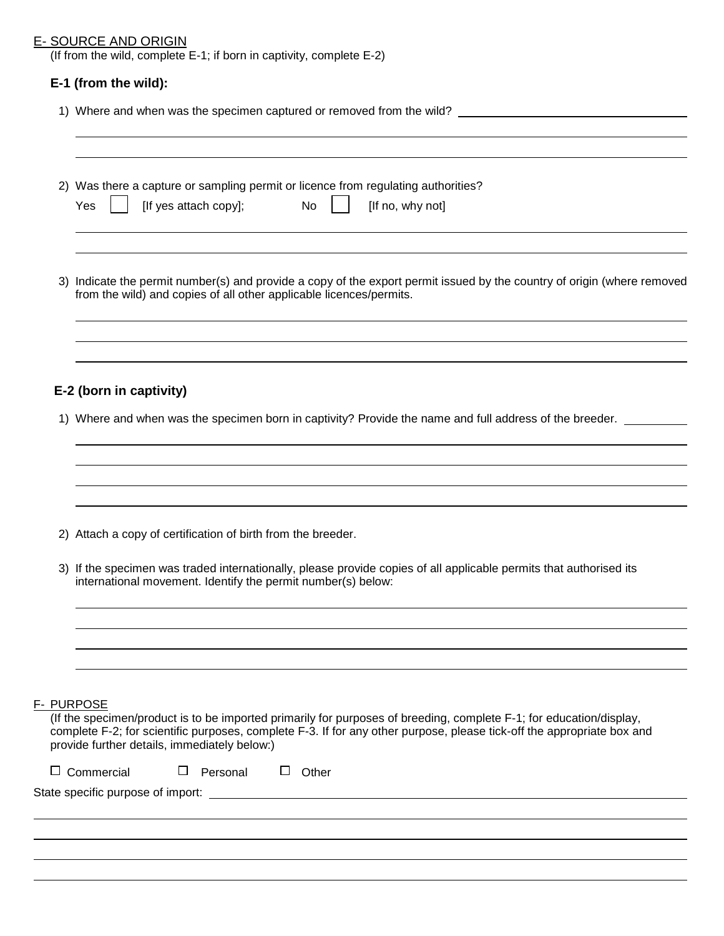# E- SOURCE AND ORIGIN

(If from the wild, complete E-1; if born in captivity, complete E-2)

# **E-1 (from the wild):**

1) Where and when was the specimen captured or removed from the wild?

|                   | 3) Indicate the permit number(s) and provide a copy of the export permit issued by the country of origin (where removed<br>from the wild) and copies of all other applicable licences/permits.<br>E-2 (born in captivity)<br>1) Where and when was the specimen born in captivity? Provide the name and full address of the breeder.<br>2) Attach a copy of certification of birth from the breeder. |          |              |  |  |  |
|-------------------|------------------------------------------------------------------------------------------------------------------------------------------------------------------------------------------------------------------------------------------------------------------------------------------------------------------------------------------------------------------------------------------------------|----------|--------------|--|--|--|
|                   |                                                                                                                                                                                                                                                                                                                                                                                                      |          |              |  |  |  |
|                   |                                                                                                                                                                                                                                                                                                                                                                                                      |          |              |  |  |  |
|                   |                                                                                                                                                                                                                                                                                                                                                                                                      |          |              |  |  |  |
|                   |                                                                                                                                                                                                                                                                                                                                                                                                      |          |              |  |  |  |
|                   | 3) If the specimen was traded internationally, please provide copies of all applicable permits that authorised its<br>international movement. Identify the permit number(s) below:                                                                                                                                                                                                                   |          |              |  |  |  |
|                   |                                                                                                                                                                                                                                                                                                                                                                                                      |          |              |  |  |  |
| F- PURPOSE        | (If the specimen/product is to be imported primarily for purposes of breeding, complete F-1; for education/display,<br>complete F-2; for scientific purposes, complete F-3. If for any other purpose, please tick-off the appropriate box and<br>provide further details, immediately below:)                                                                                                        |          |              |  |  |  |
| $\Box$ Commercial |                                                                                                                                                                                                                                                                                                                                                                                                      | Personal | $\Box$ Other |  |  |  |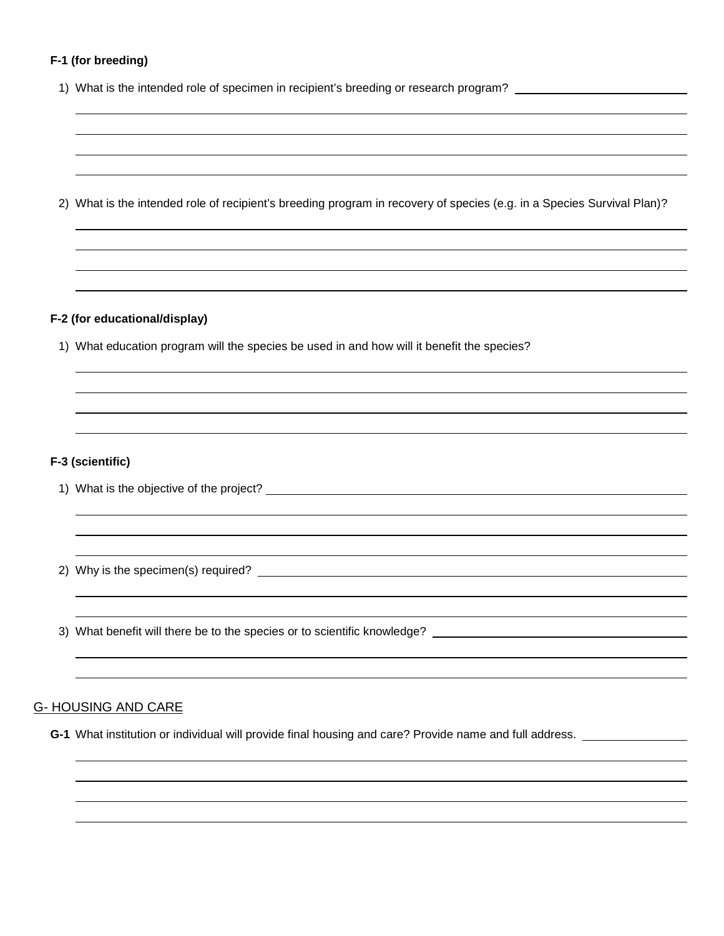# **F-1 (for breeding)**

 

 

|  |  |  | 1) What is the intended role of specimen in recipient's breeding or research program? |
|--|--|--|---------------------------------------------------------------------------------------|
|  |  |  |                                                                                       |

2) What is the intended role of recipient's breeding program in recovery of species (e.g. in a Species Survival Plan)?

# **F-2 (for educational/display)**

1) What education program will the species be used in and how will it benefit the species?

# **F-3 (scientific)**

1) What is the objective of the project?

2) Why is the specimen(s) required?

3) What benefit will there be to the species or to scientific knowledge?

# G- HOUSING AND CARE

**G-1** What institution or individual will provide final housing and care? Provide name and full address.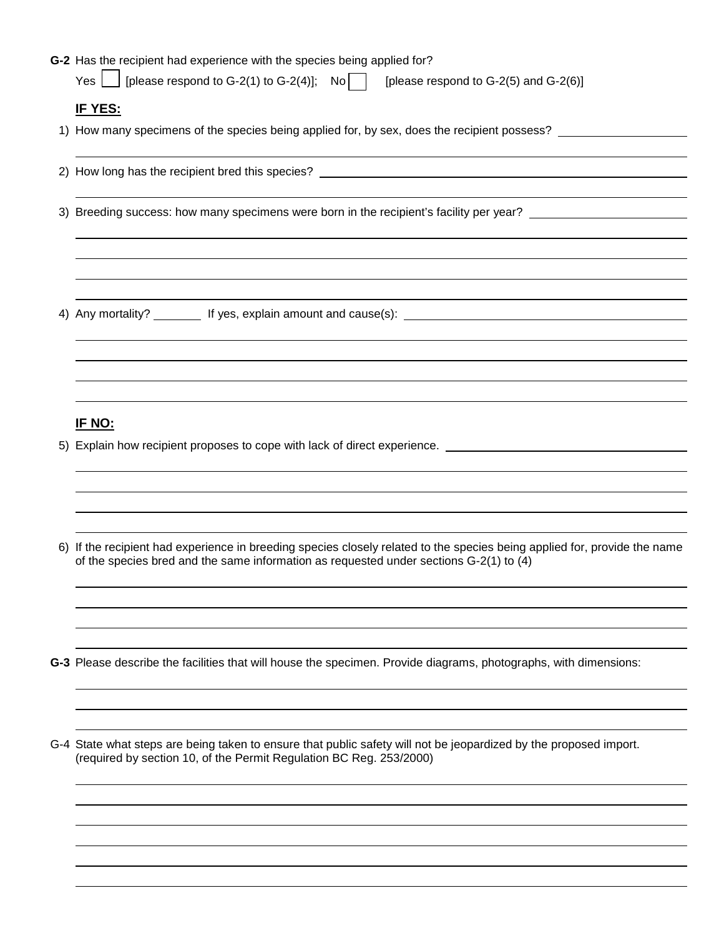| G-2 Has the recipient had experience with the species being applied for?                                                                                                                                            |
|---------------------------------------------------------------------------------------------------------------------------------------------------------------------------------------------------------------------|
| [please respond to G-2(1) to G-2(4)]; No<br>Yes  <br>[please respond to G-2(5) and G-2(6)]                                                                                                                          |
| <u>IF YES:</u>                                                                                                                                                                                                      |
| 1) How many specimens of the species being applied for, by sex, does the recipient possess? _________________                                                                                                       |
|                                                                                                                                                                                                                     |
|                                                                                                                                                                                                                     |
| 3) Breeding success: how many specimens were born in the recipient's facility per year? ______________________                                                                                                      |
|                                                                                                                                                                                                                     |
|                                                                                                                                                                                                                     |
|                                                                                                                                                                                                                     |
|                                                                                                                                                                                                                     |
|                                                                                                                                                                                                                     |
|                                                                                                                                                                                                                     |
|                                                                                                                                                                                                                     |
|                                                                                                                                                                                                                     |
| <u>IF NO:</u>                                                                                                                                                                                                       |
| 5) Explain how recipient proposes to cope with lack of direct experience.                                                                                                                                           |
|                                                                                                                                                                                                                     |
|                                                                                                                                                                                                                     |
|                                                                                                                                                                                                                     |
| 6) If the recipient had experience in breeding species closely related to the species being applied for, provide the name<br>of the species bred and the same information as requested under sections G-2(1) to (4) |
|                                                                                                                                                                                                                     |
|                                                                                                                                                                                                                     |
|                                                                                                                                                                                                                     |
| G-3 Please describe the facilities that will house the specimen. Provide diagrams, photographs, with dimensions:                                                                                                    |
|                                                                                                                                                                                                                     |
|                                                                                                                                                                                                                     |
| G-4 State what steps are being taken to ensure that public safety will not be jeopardized by the proposed import.                                                                                                   |
| (required by section 10, of the Permit Regulation BC Reg. 253/2000)                                                                                                                                                 |
|                                                                                                                                                                                                                     |
|                                                                                                                                                                                                                     |
|                                                                                                                                                                                                                     |
|                                                                                                                                                                                                                     |